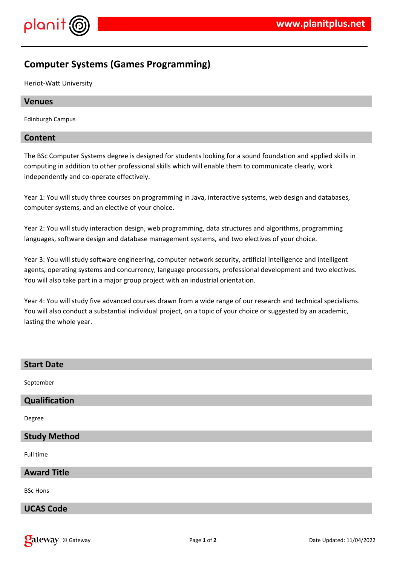

# **Computer Systems (Games Programming)**

Heriot-Watt University

## **Venues**

Edinburgh Campus

## **Content**

The BSc Computer Systems degree is designed for students looking for a sound foundation and applied skills in computing in addition to other professional skills which will enable them to communicate clearly, work independently and co-operate effectively.

Year 1: You will study three courses on programming in Java, interactive systems, web design and databases, computer systems, and an elective of your choice.

Year 2: You will study interaction design, web programming, data structures and algorithms, programming languages, software design and database management systems, and two electives of your choice.

Year 3: You will study software engineering, computer network security, artificial intelligence and intelligent agents, operating systems and concurrency, language processors, professional development and two electives. You will also take part in a major group project with an industrial orientation.

Year 4: You will study five advanced courses drawn from a wide range of our research and technical specialisms. You will also conduct a substantial individual project, on a topic of your choice or suggested by an academic, lasting the whole year.

| <b>Start Date</b>   |
|---------------------|
| September           |
| Qualification       |
| Degree              |
| <b>Study Method</b> |
| Full time           |
| <b>Award Title</b>  |
| <b>BSc Hons</b>     |
| <b>UCAS Code</b>    |
|                     |